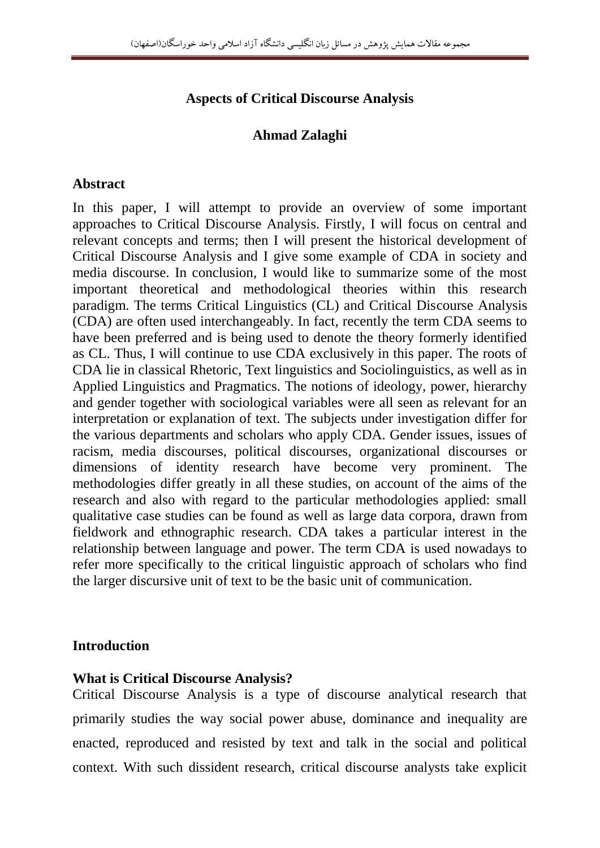# **Aspects of Critical Discourse Analysis**

## **Ahmad Zalaghi**

#### **Abstract**

In this paper, I will attempt to provide an overview of some important approaches to Critical Discourse Analysis. Firstly, I will focus on central and relevant concepts and terms; then I will present the historical development of Critical Discourse Analysis and I give some example of CDA in society and media discourse. In conclusion, I would like to summarize some of the most important theoretical and methodological theories within this research paradigm. The terms Critical Linguistics (CL) and Critical Discourse Analysis (CDA) are often used interchangeably. In fact, recently the term CDA seems to have been preferred and is being used to denote the theory formerly identified as CL. Thus, I will continue to use CDA exclusively in this paper. The roots of CDA lie in classical Rhetoric, Text linguistics and Sociolinguistics, as well as in Applied Linguistics and Pragmatics. The notions of ideology, power, hierarchy and gender together with sociological variables were all seen as relevant for an interpretation or explanation of text. The subjects under investigation differ for the various departments and scholars who apply CDA. Gender issues, issues of racism, media discourses, political discourses, organizational discourses or dimensions of identity research have become very prominent. The methodologies differ greatly in all these studies, on account of the aims of the research and also with regard to the particular methodologies applied: small qualitative case studies can be found as well as large data corpora, drawn from fieldwork and ethnographic research. CDA takes a particular interest in the relationship between language and power. The term CDA is used nowadays to refer more specifically to the critical linguistic approach of scholars who find the larger discursive unit of text to be the basic unit of communication.

### **Introduction**

### **What is Critical Discourse Analysis?**

Critical Discourse Analysis is a type of discourse analytical research that primarily studies the way social power abuse, dominance and inequality are enacted, reproduced and resisted by text and talk in the social and political context. With such dissident research, critical discourse analysts take explicit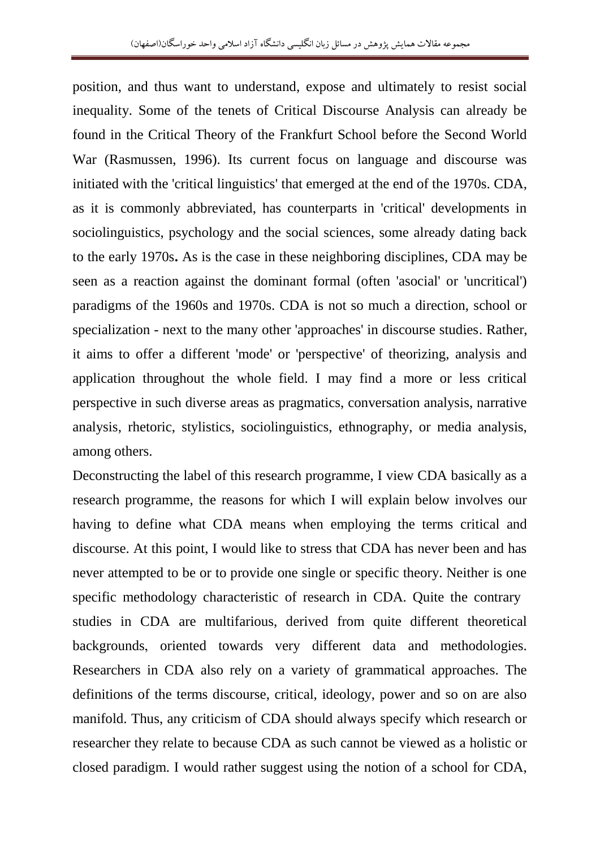position, and thus want to understand, expose and ultimately to resist social inequality. Some of the tenets of Critical Discourse Analysis can already be found in the Critical Theory of the Frankfurt School before the Second World War (Rasmussen, 1996). Its current focus on language and discourse was initiated with the 'critical linguistics' that emerged at the end of the 1970s. CDA, as it is commonly abbreviated, has counterparts in 'critical' developments in sociolinguistics, psychology and the social sciences, some already dating back to the early 1970s**.** As is the case in these neighboring disciplines, CDA may be seen as a reaction against the dominant formal (often 'asocial' or 'uncritical') paradigms of the 1960s and 1970s. CDA is not so much a direction, school or specialization - next to the many other 'approaches' in discourse studies. Rather, it aims to offer a different 'mode' or 'perspective' of theorizing, analysis and application throughout the whole field. I may find a more or less critical perspective in such diverse areas as pragmatics, conversation analysis, narrative analysis, rhetoric, stylistics, sociolinguistics, ethnography, or media analysis, among others.

Deconstructing the label of this research programme, I view CDA basically as a research programme, the reasons for which I will explain below involves our having to define what CDA means when employing the terms critical and discourse. At this point, I would like to stress that CDA has never been and has never attempted to be or to provide one single or specific theory. Neither is one specific methodology characteristic of research in CDA. Quite the contrary studies in CDA are multifarious, derived from quite different theoretical backgrounds, oriented towards very different data and methodologies. Researchers in CDA also rely on a variety of grammatical approaches. The definitions of the terms discourse, critical, ideology, power and so on are also manifold. Thus, any criticism of CDA should always specify which research or researcher they relate to because CDA as such cannot be viewed as a holistic or closed paradigm. I would rather suggest using the notion of a school for CDA,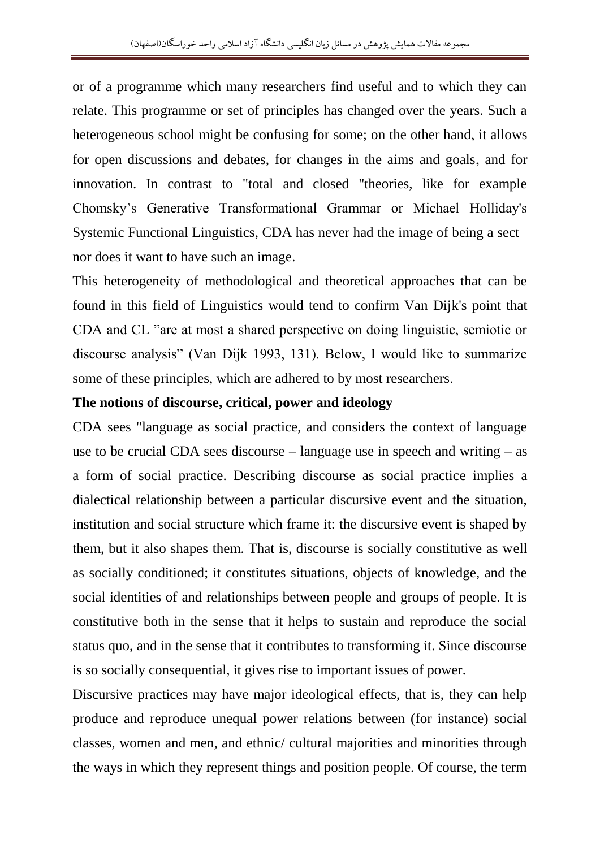or of a programme which many researchers find useful and to which they can relate. This programme or set of principles has changed over the years. Such a heterogeneous school might be confusing for some; on the other hand, it allows for open discussions and debates, for changes in the aims and goals, and for innovation. In contrast to "total and closed "theories, like for example Chomsky"s Generative Transformational Grammar or Michael Holliday's Systemic Functional Linguistics, CDA has never had the image of being a sect nor does it want to have such an image.

This heterogeneity of methodological and theoretical approaches that can be found in this field of Linguistics would tend to confirm Van Dijk's point that CDA and CL "are at most a shared perspective on doing linguistic, semiotic or discourse analysis" (Van Dijk 1993, 131). Below, I would like to summarize some of these principles, which are adhered to by most researchers.

#### **The notions of discourse, critical, power and ideology**

CDA sees "language as social practice, and considers the context of language use to be crucial CDA sees discourse – language use in speech and writing – as a form of social practice. Describing discourse as social practice implies a dialectical relationship between a particular discursive event and the situation, institution and social structure which frame it: the discursive event is shaped by them, but it also shapes them. That is, discourse is socially constitutive as well as socially conditioned; it constitutes situations, objects of knowledge, and the social identities of and relationships between people and groups of people. It is constitutive both in the sense that it helps to sustain and reproduce the social status quo, and in the sense that it contributes to transforming it. Since discourse is so socially consequential, it gives rise to important issues of power.

Discursive practices may have major ideological effects, that is, they can help produce and reproduce unequal power relations between (for instance) social classes, women and men, and ethnic/ cultural majorities and minorities through the ways in which they represent things and position people. Of course, the term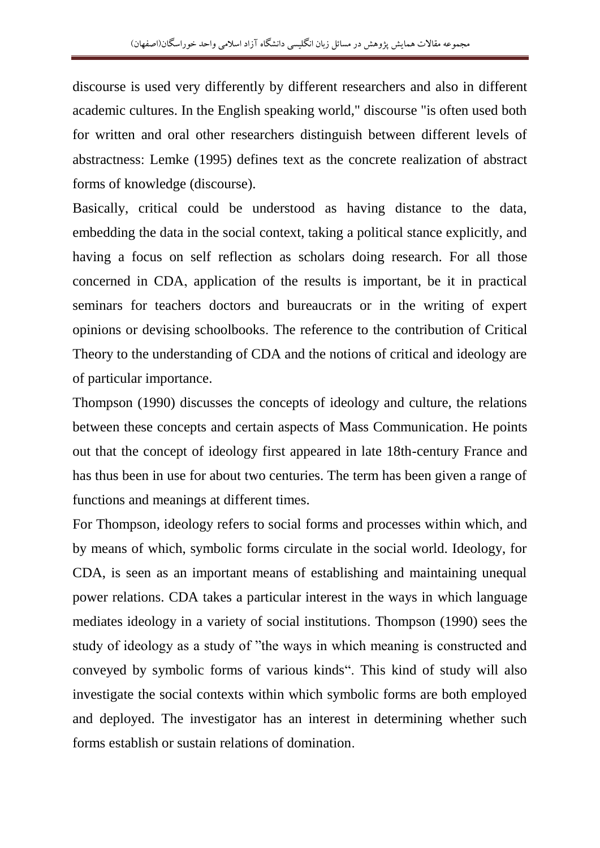discourse is used very differently by different researchers and also in different academic cultures. In the English speaking world," discourse "is often used both for written and oral other researchers distinguish between different levels of abstractness: Lemke (1995) defines text as the concrete realization of abstract forms of knowledge (discourse).

Basically, critical could be understood as having distance to the data, embedding the data in the social context, taking a political stance explicitly, and having a focus on self reflection as scholars doing research. For all those concerned in CDA, application of the results is important, be it in practical seminars for teachers doctors and bureaucrats or in the writing of expert opinions or devising schoolbooks. The reference to the contribution of Critical Theory to the understanding of CDA and the notions of critical and ideology are of particular importance.

Thompson (1990) discusses the concepts of ideology and culture, the relations between these concepts and certain aspects of Mass Communication. He points out that the concept of ideology first appeared in late 18th-century France and has thus been in use for about two centuries. The term has been given a range of functions and meanings at different times.

For Thompson, ideology refers to social forms and processes within which, and by means of which, symbolic forms circulate in the social world. Ideology, for CDA, is seen as an important means of establishing and maintaining unequal power relations. CDA takes a particular interest in the ways in which language mediates ideology in a variety of social institutions. Thompson (1990) sees the study of ideology as a study of "the ways in which meaning is constructed and conveyed by symbolic forms of various kinds". This kind of study will also investigate the social contexts within which symbolic forms are both employed and deployed. The investigator has an interest in determining whether such forms establish or sustain relations of domination.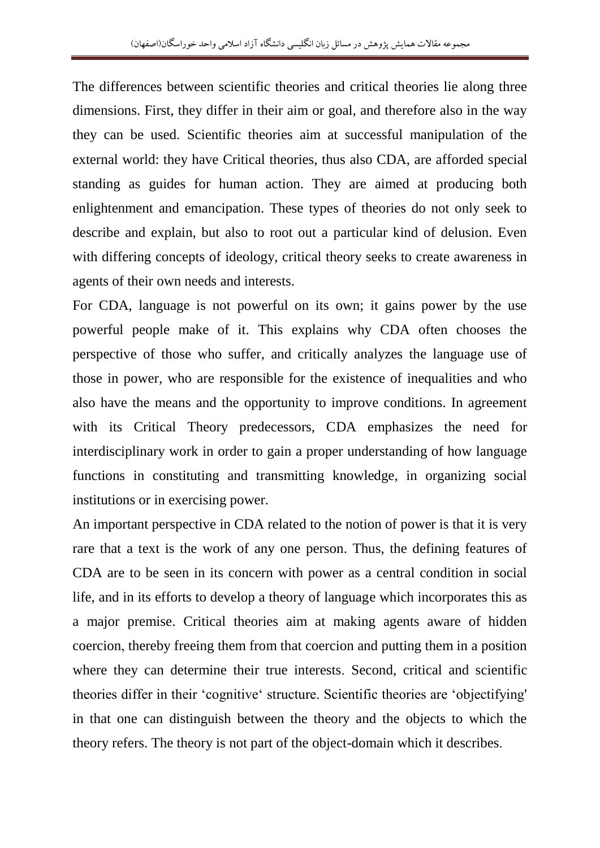The differences between scientific theories and critical theories lie along three dimensions. First, they differ in their aim or goal, and therefore also in the way they can be used. Scientific theories aim at successful manipulation of the external world: they have Critical theories, thus also CDA, are afforded special standing as guides for human action. They are aimed at producing both enlightenment and emancipation. These types of theories do not only seek to describe and explain, but also to root out a particular kind of delusion. Even with differing concepts of ideology, critical theory seeks to create awareness in agents of their own needs and interests.

For CDA, language is not powerful on its own; it gains power by the use powerful people make of it. This explains why CDA often chooses the perspective of those who suffer, and critically analyzes the language use of those in power, who are responsible for the existence of inequalities and who also have the means and the opportunity to improve conditions. In agreement with its Critical Theory predecessors, CDA emphasizes the need for interdisciplinary work in order to gain a proper understanding of how language functions in constituting and transmitting knowledge, in organizing social institutions or in exercising power.

An important perspective in CDA related to the notion of power is that it is very rare that a text is the work of any one person. Thus, the defining features of CDA are to be seen in its concern with power as a central condition in social life, and in its efforts to develop a theory of language which incorporates this as a major premise. Critical theories aim at making agents aware of hidden coercion, thereby freeing them from that coercion and putting them in a position where they can determine their true interests. Second, critical and scientific theories differ in their "cognitive" structure. Scientific theories are "objectifying' in that one can distinguish between the theory and the objects to which the theory refers. The theory is not part of the object-domain which it describes.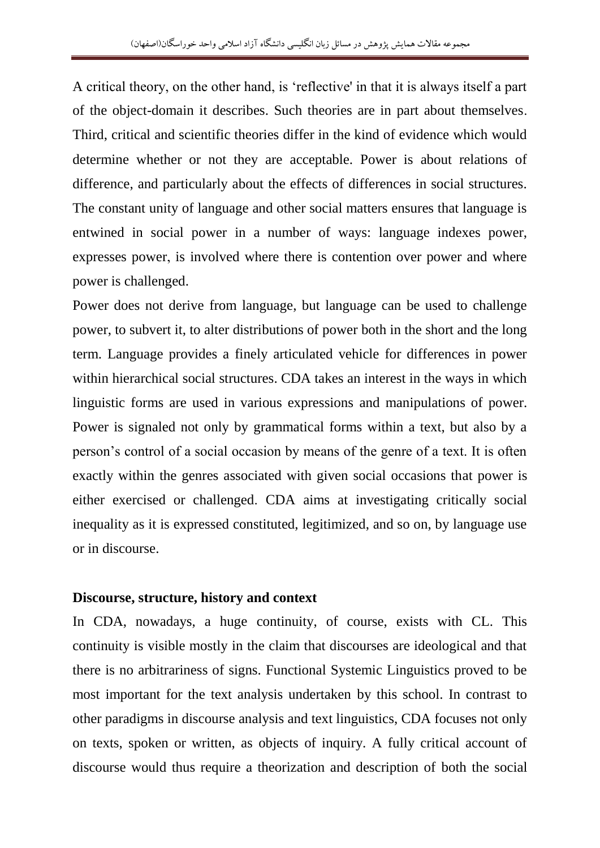A critical theory, on the other hand, is "reflective' in that it is always itself a part of the object-domain it describes. Such theories are in part about themselves. Third, critical and scientific theories differ in the kind of evidence which would determine whether or not they are acceptable. Power is about relations of difference, and particularly about the effects of differences in social structures. The constant unity of language and other social matters ensures that language is entwined in social power in a number of ways: language indexes power, expresses power, is involved where there is contention over power and where power is challenged.

Power does not derive from language, but language can be used to challenge power, to subvert it, to alter distributions of power both in the short and the long term. Language provides a finely articulated vehicle for differences in power within hierarchical social structures. CDA takes an interest in the ways in which linguistic forms are used in various expressions and manipulations of power. Power is signaled not only by grammatical forms within a text, but also by a person"s control of a social occasion by means of the genre of a text. It is often exactly within the genres associated with given social occasions that power is either exercised or challenged. CDA aims at investigating critically social inequality as it is expressed constituted, legitimized, and so on, by language use or in discourse.

### **Discourse, structure, history and context**

In CDA, nowadays, a huge continuity, of course, exists with CL. This continuity is visible mostly in the claim that discourses are ideological and that there is no arbitrariness of signs. Functional Systemic Linguistics proved to be most important for the text analysis undertaken by this school. In contrast to other paradigms in discourse analysis and text linguistics, CDA focuses not only on texts, spoken or written, as objects of inquiry. A fully critical account of discourse would thus require a theorization and description of both the social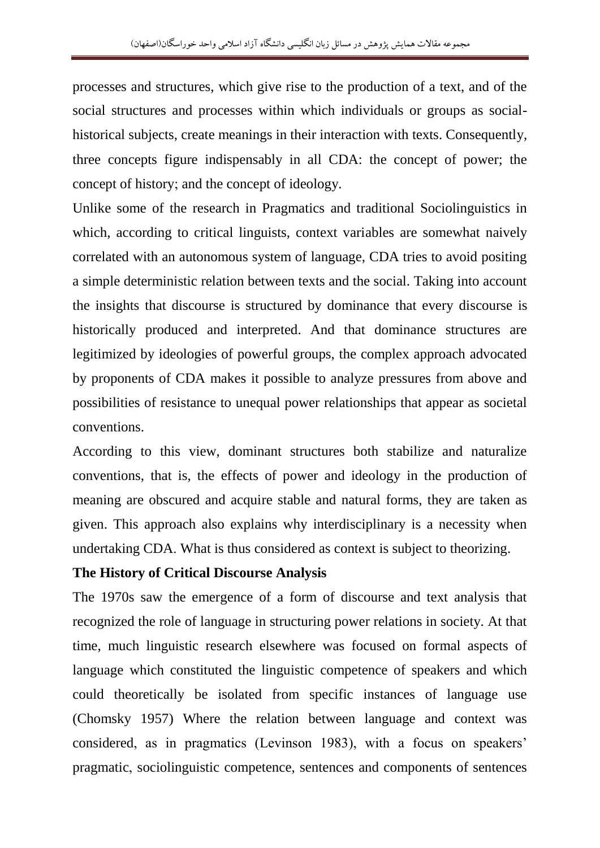processes and structures, which give rise to the production of a text, and of the social structures and processes within which individuals or groups as socialhistorical subjects, create meanings in their interaction with texts. Consequently, three concepts figure indispensably in all CDA: the concept of power; the concept of history; and the concept of ideology.

Unlike some of the research in Pragmatics and traditional Sociolinguistics in which, according to critical linguists, context variables are somewhat naively correlated with an autonomous system of language, CDA tries to avoid positing a simple deterministic relation between texts and the social. Taking into account the insights that discourse is structured by dominance that every discourse is historically produced and interpreted. And that dominance structures are legitimized by ideologies of powerful groups, the complex approach advocated by proponents of CDA makes it possible to analyze pressures from above and possibilities of resistance to unequal power relationships that appear as societal conventions.

According to this view, dominant structures both stabilize and naturalize conventions, that is, the effects of power and ideology in the production of meaning are obscured and acquire stable and natural forms, they are taken as given. This approach also explains why interdisciplinary is a necessity when undertaking CDA. What is thus considered as context is subject to theorizing.

#### **The History of Critical Discourse Analysis**

The 1970s saw the emergence of a form of discourse and text analysis that recognized the role of language in structuring power relations in society. At that time, much linguistic research elsewhere was focused on formal aspects of language which constituted the linguistic competence of speakers and which could theoretically be isolated from specific instances of language use (Chomsky 1957) Where the relation between language and context was considered, as in pragmatics (Levinson 1983), with a focus on speakers" pragmatic, sociolinguistic competence, sentences and components of sentences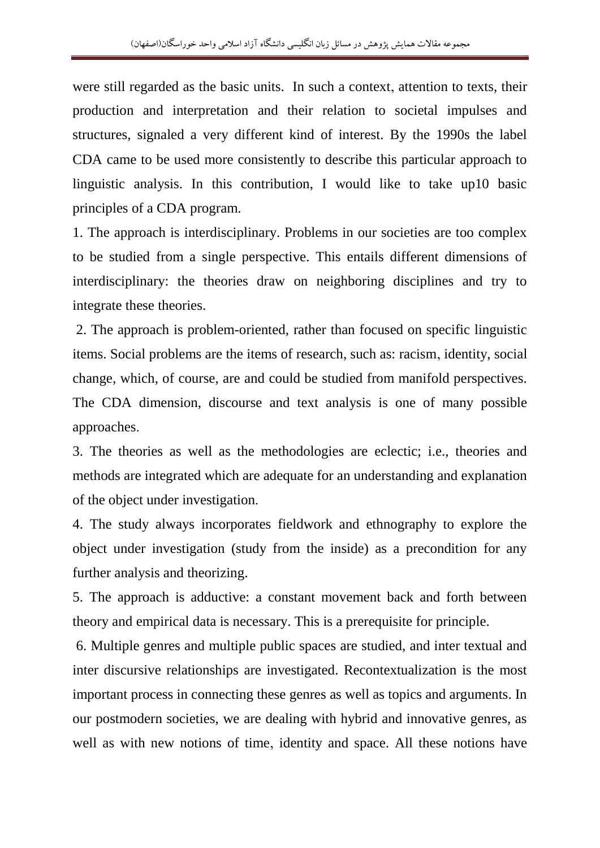were still regarded as the basic units. In such a context, attention to texts, their production and interpretation and their relation to societal impulses and structures, signaled a very different kind of interest. By the 1990s the label CDA came to be used more consistently to describe this particular approach to linguistic analysis. In this contribution, I would like to take up10 basic principles of a CDA program.

1. The approach is interdisciplinary. Problems in our societies are too complex to be studied from a single perspective. This entails different dimensions of interdisciplinary: the theories draw on neighboring disciplines and try to integrate these theories.

2. The approach is problem-oriented, rather than focused on specific linguistic items. Social problems are the items of research, such as: racism, identity, social change, which, of course, are and could be studied from manifold perspectives. The CDA dimension, discourse and text analysis is one of many possible approaches.

3. The theories as well as the methodologies are eclectic; i.e., theories and methods are integrated which are adequate for an understanding and explanation of the object under investigation.

4. The study always incorporates fieldwork and ethnography to explore the object under investigation (study from the inside) as a precondition for any further analysis and theorizing.

5. The approach is adductive: a constant movement back and forth between theory and empirical data is necessary. This is a prerequisite for principle.

6. Multiple genres and multiple public spaces are studied, and inter textual and inter discursive relationships are investigated. Recontextualization is the most important process in connecting these genres as well as topics and arguments. In our postmodern societies, we are dealing with hybrid and innovative genres, as well as with new notions of time, identity and space. All these notions have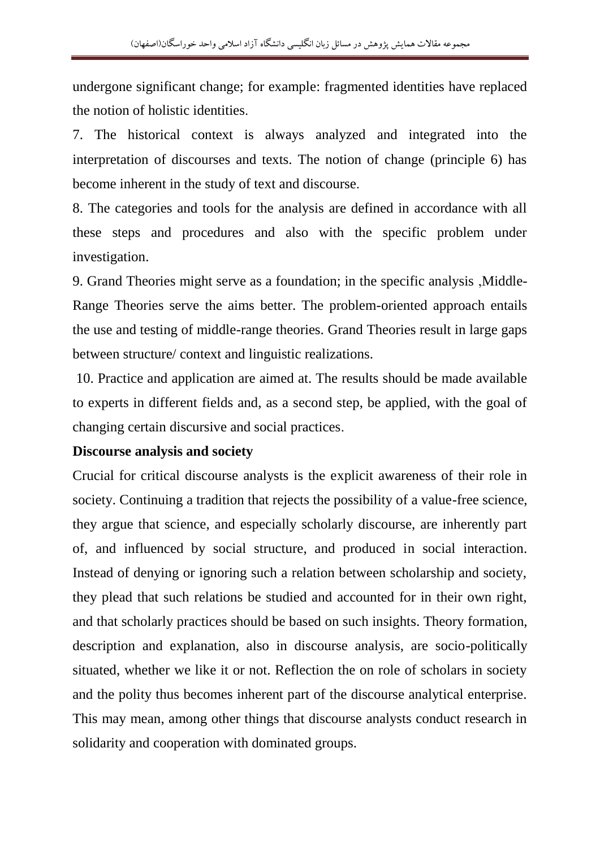undergone significant change; for example: fragmented identities have replaced the notion of holistic identities.

7. The historical context is always analyzed and integrated into the interpretation of discourses and texts. The notion of change (principle 6) has become inherent in the study of text and discourse.

8. The categories and tools for the analysis are defined in accordance with all these steps and procedures and also with the specific problem under investigation.

9. Grand Theories might serve as a foundation; in the specific analysis ,Middle-Range Theories serve the aims better. The problem-oriented approach entails the use and testing of middle-range theories. Grand Theories result in large gaps between structure/ context and linguistic realizations.

10. Practice and application are aimed at. The results should be made available to experts in different fields and, as a second step, be applied, with the goal of changing certain discursive and social practices.

## **Discourse analysis and society**

Crucial for critical discourse analysts is the explicit awareness of their role in society. Continuing a tradition that rejects the possibility of a value-free science, they argue that science, and especially scholarly discourse, are inherently part of, and influenced by social structure, and produced in social interaction. Instead of denying or ignoring such a relation between scholarship and society, they plead that such relations be studied and accounted for in their own right, and that scholarly practices should be based on such insights. Theory formation, description and explanation, also in discourse analysis, are socio-politically situated, whether we like it or not. Reflection the on role of scholars in society and the polity thus becomes inherent part of the discourse analytical enterprise. This may mean, among other things that discourse analysts conduct research in solidarity and cooperation with dominated groups.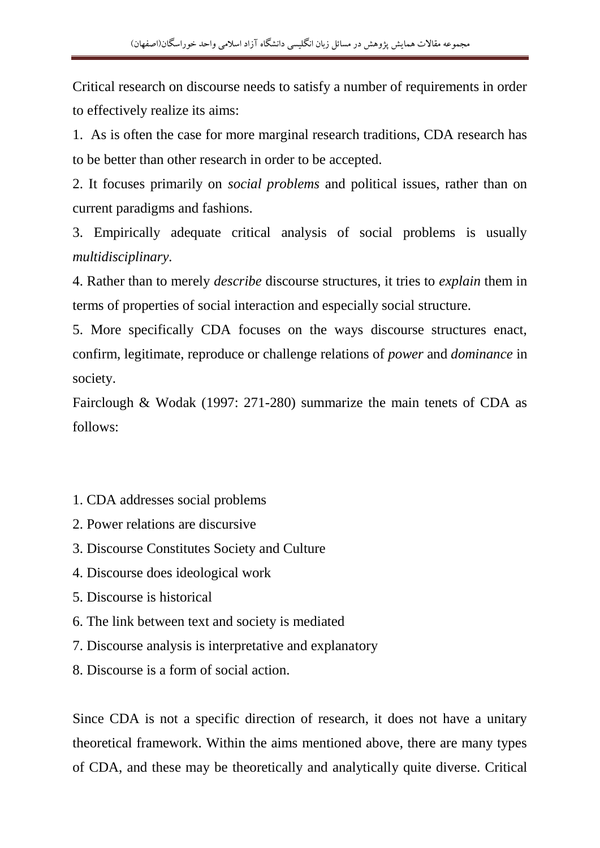Critical research on discourse needs to satisfy a number of requirements in order to effectively realize its aims:

1. As is often the case for more marginal research traditions, CDA research has to be better than other research in order to be accepted.

2. It focuses primarily on *social problems* and political issues, rather than on current paradigms and fashions.

3. Empirically adequate critical analysis of social problems is usually *multidisciplinary.*

4. Rather than to merely *describe* discourse structures, it tries to *explain* them in terms of properties of social interaction and especially social structure.

5. More specifically CDA focuses on the ways discourse structures enact, confirm, legitimate, reproduce or challenge relations of *power* and *dominance* in society.

Fairclough & Wodak (1997: 271-280) summarize the main tenets of CDA as follows:

- 1. CDA addresses social problems
- 2. Power relations are discursive
- 3. Discourse Constitutes Society and Culture
- 4. Discourse does ideological work
- 5. Discourse is historical
- 6. The link between text and society is mediated
- 7. Discourse analysis is interpretative and explanatory
- 8. Discourse is a form of social action.

Since CDA is not a specific direction of research, it does not have a unitary theoretical framework. Within the aims mentioned above, there are many types of CDA, and these may be theoretically and analytically quite diverse. Critical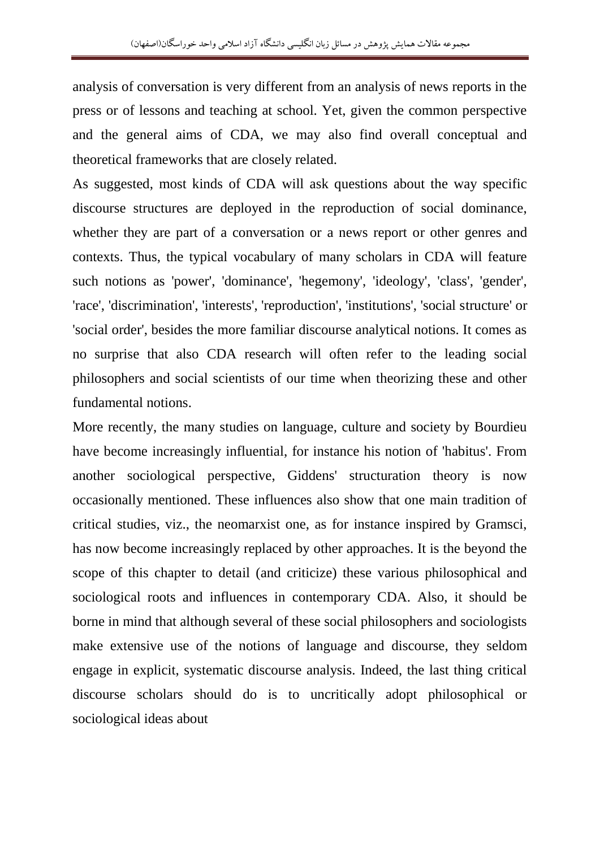analysis of conversation is very different from an analysis of news reports in the press or of lessons and teaching at school. Yet, given the common perspective and the general aims of CDA, we may also find overall conceptual and theoretical frameworks that are closely related.

As suggested, most kinds of CDA will ask questions about the way specific discourse structures are deployed in the reproduction of social dominance, whether they are part of a conversation or a news report or other genres and contexts. Thus, the typical vocabulary of many scholars in CDA will feature such notions as 'power', 'dominance', 'hegemony', 'ideology', 'class', 'gender', 'race', 'discrimination', 'interests', 'reproduction', 'institutions', 'social structure' or 'social order', besides the more familiar discourse analytical notions. It comes as no surprise that also CDA research will often refer to the leading social philosophers and social scientists of our time when theorizing these and other fundamental notions.

More recently, the many studies on language, culture and society by Bourdieu have become increasingly influential, for instance his notion of 'habitus'. From another sociological perspective, Giddens' structuration theory is now occasionally mentioned. These influences also show that one main tradition of critical studies, viz., the neomarxist one, as for instance inspired by Gramsci, has now become increasingly replaced by other approaches. It is the beyond the scope of this chapter to detail (and criticize) these various philosophical and sociological roots and influences in contemporary CDA. Also, it should be borne in mind that although several of these social philosophers and sociologists make extensive use of the notions of language and discourse, they seldom engage in explicit, systematic discourse analysis. Indeed, the last thing critical discourse scholars should do is to uncritically adopt philosophical or sociological ideas about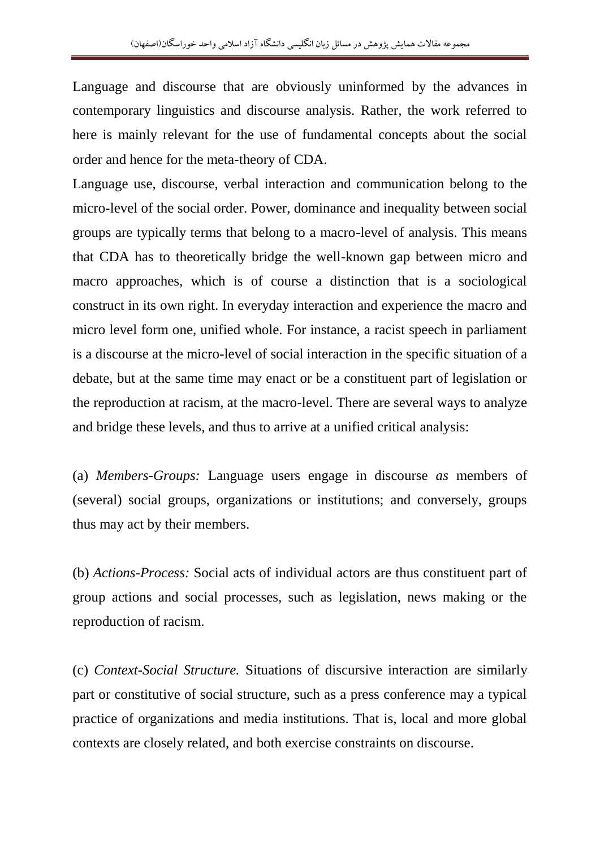Language and discourse that are obviously uninformed by the advances in contemporary linguistics and discourse analysis. Rather, the work referred to here is mainly relevant for the use of fundamental concepts about the social order and hence for the meta-theory of CDA.

Language use, discourse, verbal interaction and communication belong to the micro-level of the social order. Power, dominance and inequality between social groups are typically terms that belong to a macro-level of analysis. This means that CDA has to theoretically bridge the well-known gap between micro and macro approaches, which is of course a distinction that is a sociological construct in its own right. In everyday interaction and experience the macro and micro level form one, unified whole. For instance, a racist speech in parliament is a discourse at the micro-level of social interaction in the specific situation of a debate, but at the same time may enact or be a constituent part of legislation or the reproduction at racism, at the macro-level. There are several ways to analyze and bridge these levels, and thus to arrive at a unified critical analysis:

(a) *Members-Groups:* Language users engage in discourse *as* members of (several) social groups, organizations or institutions; and conversely, groups thus may act by their members.

(b) *Actions-Process:* Social acts of individual actors are thus constituent part of group actions and social processes, such as legislation, news making or the reproduction of racism.

(c) *Context-Social Structure.* Situations of discursive interaction are similarly part or constitutive of social structure, such as a press conference may a typical practice of organizations and media institutions. That is, local and more global contexts are closely related, and both exercise constraints on discourse.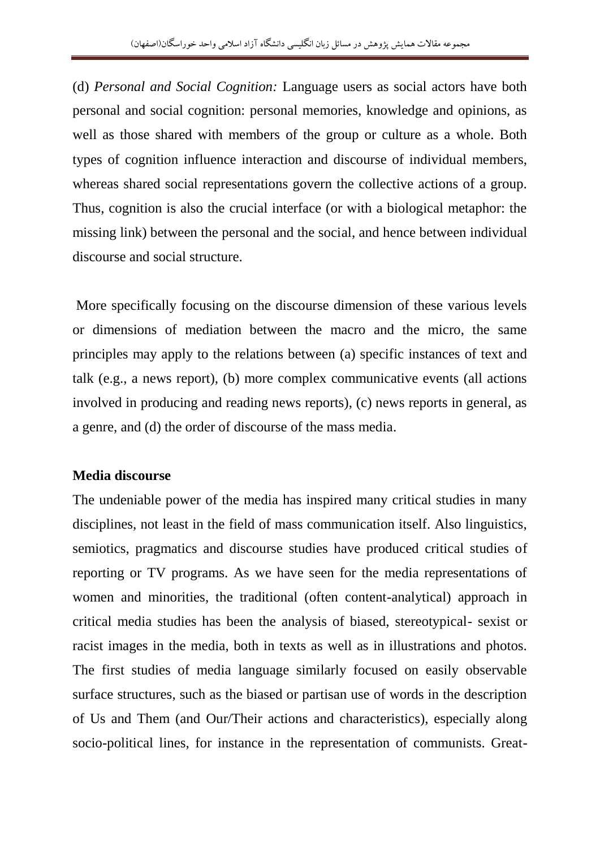(d) *Personal and Social Cognition:* Language users as social actors have both personal and social cognition: personal memories, knowledge and opinions, as well as those shared with members of the group or culture as a whole. Both types of cognition influence interaction and discourse of individual members, whereas shared social representations govern the collective actions of a group. Thus, cognition is also the crucial interface (or with a biological metaphor: the missing link) between the personal and the social, and hence between individual discourse and social structure.

More specifically focusing on the discourse dimension of these various levels or dimensions of mediation between the macro and the micro, the same principles may apply to the relations between (a) specific instances of text and talk (e.g., a news report), (b) more complex communicative events (all actions involved in producing and reading news reports), (c) news reports in general, as a genre, and (d) the order of discourse of the mass media.

### **Media discourse**

The undeniable power of the media has inspired many critical studies in many disciplines, not least in the field of mass communication itself. Also linguistics, semiotics, pragmatics and discourse studies have produced critical studies of reporting or TV programs. As we have seen for the media representations of women and minorities, the traditional (often content-analytical) approach in critical media studies has been the analysis of biased, stereotypical- sexist or racist images in the media, both in texts as well as in illustrations and photos. The first studies of media language similarly focused on easily observable surface structures, such as the biased or partisan use of words in the description of Us and Them (and Our/Their actions and characteristics), especially along socio-political lines, for instance in the representation of communists. Great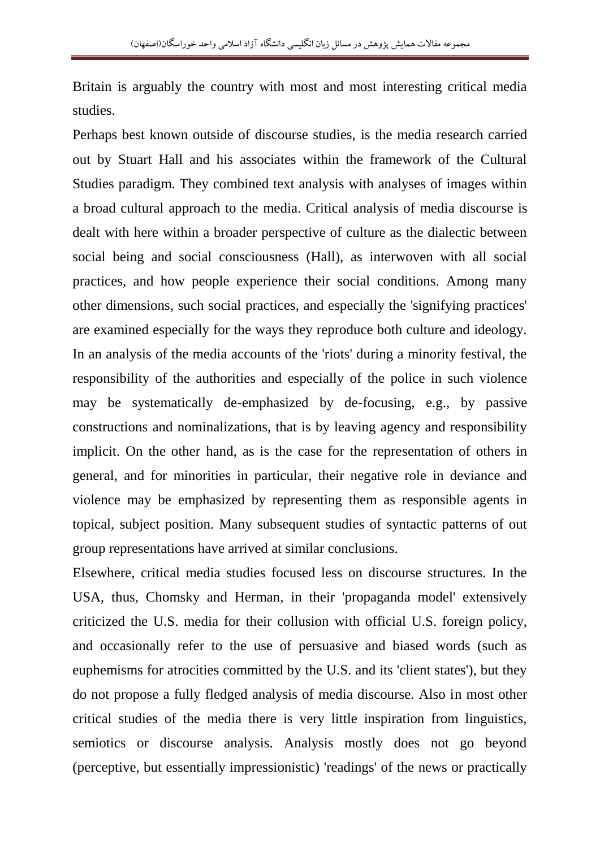Britain is arguably the country with most and most interesting critical media studies.

Perhaps best known outside of discourse studies, is the media research carried out by Stuart Hall and his associates within the framework of the Cultural Studies paradigm. They combined text analysis with analyses of images within a broad cultural approach to the media. Critical analysis of media discourse is dealt with here within a broader perspective of culture as the dialectic between social being and social consciousness (Hall), as interwoven with all social practices, and how people experience their social conditions. Among many other dimensions, such social practices, and especially the 'signifying practices' are examined especially for the ways they reproduce both culture and ideology. In an analysis of the media accounts of the 'riots' during a minority festival, the responsibility of the authorities and especially of the police in such violence may be systematically de-emphasized by de-focusing, e.g., by passive constructions and nominalizations, that is by leaving agency and responsibility implicit. On the other hand, as is the case for the representation of others in general, and for minorities in particular, their negative role in deviance and violence may be emphasized by representing them as responsible agents in topical, subject position. Many subsequent studies of syntactic patterns of out group representations have arrived at similar conclusions.

Elsewhere, critical media studies focused less on discourse structures. In the USA, thus, Chomsky and Herman, in their 'propaganda model' extensively criticized the U.S. media for their collusion with official U.S. foreign policy, and occasionally refer to the use of persuasive and biased words (such as euphemisms for atrocities committed by the U.S. and its 'client states'), but they do not propose a fully fledged analysis of media discourse. Also in most other critical studies of the media there is very little inspiration from linguistics, semiotics or discourse analysis. Analysis mostly does not go beyond (perceptive, but essentially impressionistic) 'readings' of the news or practically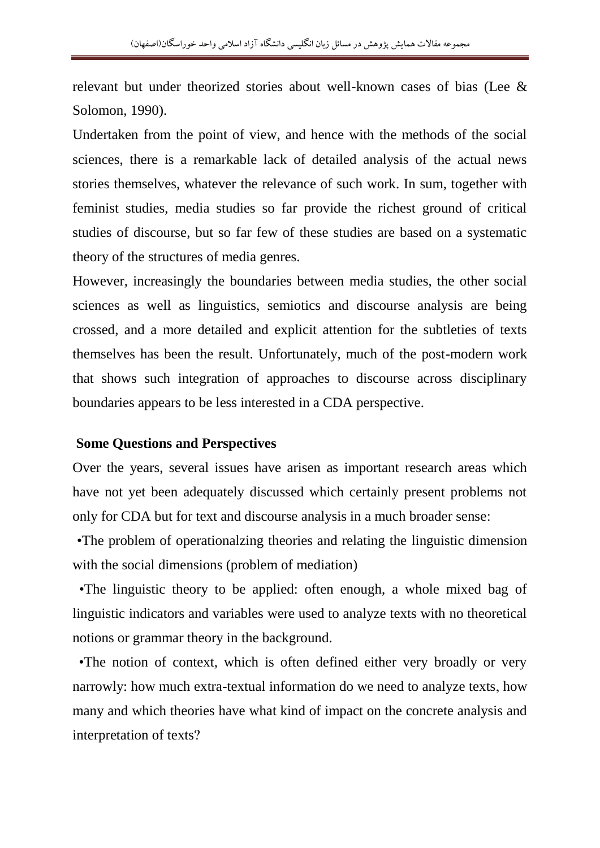relevant but under theorized stories about well-known cases of bias (Lee & Solomon, 1990).

Undertaken from the point of view, and hence with the methods of the social sciences, there is a remarkable lack of detailed analysis of the actual news stories themselves, whatever the relevance of such work. In sum, together with feminist studies, media studies so far provide the richest ground of critical studies of discourse, but so far few of these studies are based on a systematic theory of the structures of media genres.

However, increasingly the boundaries between media studies, the other social sciences as well as linguistics, semiotics and discourse analysis are being crossed, and a more detailed and explicit attention for the subtleties of texts themselves has been the result. Unfortunately, much of the post-modern work that shows such integration of approaches to discourse across disciplinary boundaries appears to be less interested in a CDA perspective.

#### **Some Questions and Perspectives**

Over the years, several issues have arisen as important research areas which have not yet been adequately discussed which certainly present problems not only for CDA but for text and discourse analysis in a much broader sense:

 •The problem of operationalzing theories and relating the linguistic dimension with the social dimensions (problem of mediation)

 •The linguistic theory to be applied: often enough, a whole mixed bag of linguistic indicators and variables were used to analyze texts with no theoretical notions or grammar theory in the background.

 •The notion of context, which is often defined either very broadly or very narrowly: how much extra-textual information do we need to analyze texts, how many and which theories have what kind of impact on the concrete analysis and interpretation of texts?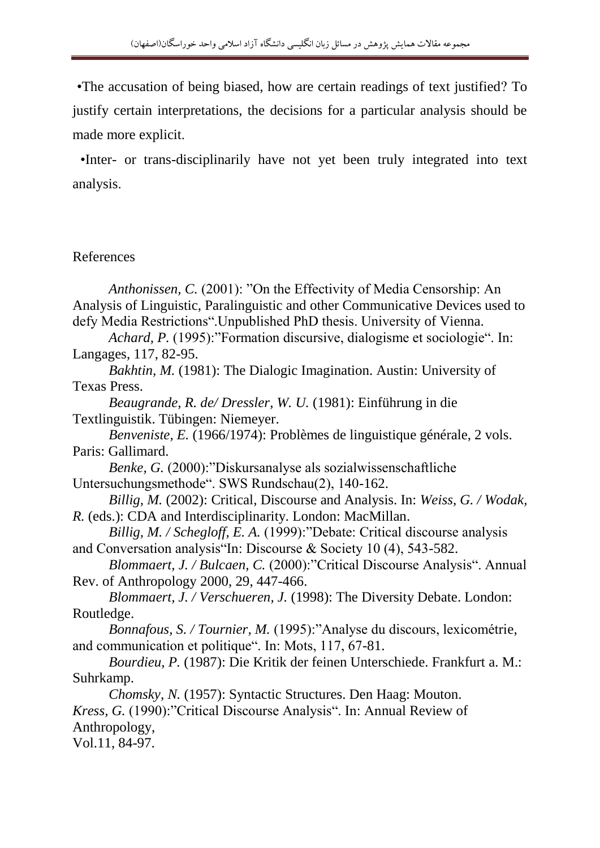•The accusation of being biased, how are certain readings of text justified? To justify certain interpretations, the decisions for a particular analysis should be made more explicit.

 •Inter- or trans-disciplinarily have not yet been truly integrated into text analysis.

### References

*Anthonissen, C.* (2001): "On the Effectivity of Media Censorship: An Analysis of Linguistic, Paralinguistic and other Communicative Devices used to defy Media Restrictions".Unpublished PhD thesis. University of Vienna.

*Achard, P.* (1995):"Formation discursive, dialogisme et sociologie". In: Langages, 117, 82-95.

*Bakhtin, M.* (1981): The Dialogic Imagination. Austin: University of Texas Press.

*Beaugrande, R. de/ Dressler, W. U.* (1981): Einführung in die Textlinguistik. Tübingen: Niemeyer.

*Benveniste, E.* (1966/1974): Problèmes de linguistique générale, 2 vols. Paris: Gallimard.

*Benke, G.* (2000): "Diskursanalyse als sozialwissenschaftliche Untersuchungsmethode". SWS Rundschau(2), 140-162.

*Billig, M.* (2002): Critical, Discourse and Analysis. In: *Weiss, G. / Wodak, R.* (eds.): CDA and Interdisciplinarity. London: MacMillan.

*Billig, M. / Schegloff, E. A.* (1999): "Debate: Critical discourse analysis and Conversation analysis"In: Discourse & Society 10 (4), 543-582.

*Blommaert, J. / Bulcaen, C.* (2000):"Critical Discourse Analysis". Annual Rev. of Anthropology 2000, 29, 447-466.

*Blommaert, J. / Verschueren, J.* (1998): The Diversity Debate. London: Routledge.

*Bonnafous, S. / Tournier, M.* (1995):"Analyse du discours, lexicométrie, and communication et politique". In: Mots, 117, 67-81.

*Bourdieu, P.* (1987): Die Kritik der feinen Unterschiede. Frankfurt a. M.: Suhrkamp.

*Chomsky, N.* (1957): Syntactic Structures. Den Haag: Mouton. *Kress, G. (1990):*"Critical Discourse Analysis". In: Annual Review of Anthropology, Vol.11, 84-97.